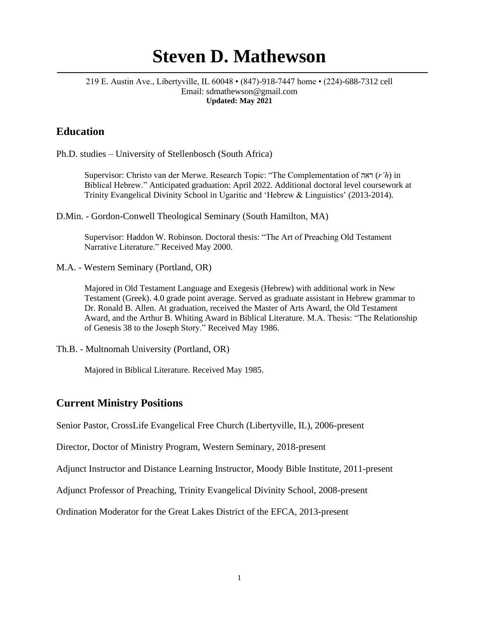# **Steven D. Mathewson**

#### 219 E. Austin Ave., Libertyville, IL 60048 • (847)-918-7447 home • (224)-688-7312 cell Email: sdmathewson@gmail.com **Updated: May 2021**

### **Education**

Ph.D. studies – University of Stellenbosch (South Africa)

Supervisor: Christo van der Merwe. Research Topic: "The Complementation of ראה) *r'h*) in Biblical Hebrew." Anticipated graduation: April 2022. Additional doctoral level coursework at Trinity Evangelical Divinity School in Ugaritic and 'Hebrew & Linguistics' (2013-2014).

D.Min. - Gordon-Conwell Theological Seminary (South Hamilton, MA)

Supervisor: Haddon W. Robinson. Doctoral thesis: "The Art of Preaching Old Testament Narrative Literature." Received May 2000.

M.A. - Western Seminary (Portland, OR)

Majored in Old Testament Language and Exegesis (Hebrew) with additional work in New Testament (Greek). 4.0 grade point average. Served as graduate assistant in Hebrew grammar to Dr. Ronald B. Allen. At graduation, received the Master of Arts Award, the Old Testament Award, and the Arthur B. Whiting Award in Biblical Literature. M.A. Thesis: "The Relationship of Genesis 38 to the Joseph Story." Received May 1986.

Th.B. - Multnomah University (Portland, OR)

Majored in Biblical Literature. Received May 1985.

#### **Current Ministry Positions**

Senior Pastor, CrossLife Evangelical Free Church (Libertyville, IL), 2006-present

Director, Doctor of Ministry Program, Western Seminary, 2018-present

Adjunct Instructor and Distance Learning Instructor, Moody Bible Institute, 2011-present

Adjunct Professor of Preaching, Trinity Evangelical Divinity School, 2008-present

Ordination Moderator for the Great Lakes District of the EFCA, 2013-present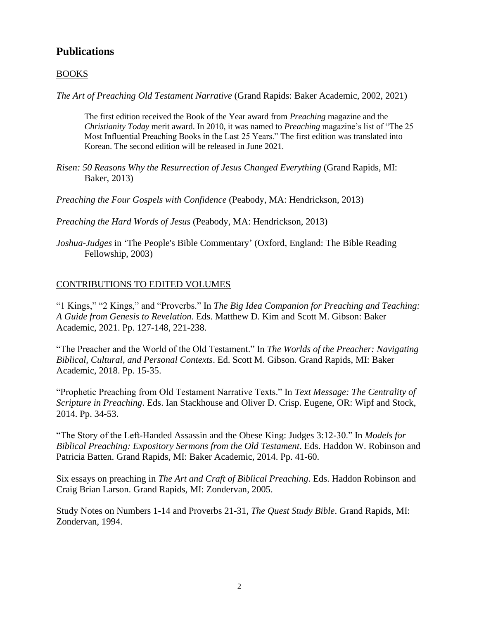## **Publications**

#### BOOKS

*The Art of Preaching Old Testament Narrative* (Grand Rapids: Baker Academic, 2002, 2021)

The first edition received the Book of the Year award from *Preaching* magazine and the *Christianity Today* merit award. In 2010, it was named to *Preaching* magazine's list of "The 25 Most Influential Preaching Books in the Last 25 Years." The first edition was translated into Korean. The second edition will be released in June 2021.

*Risen: 50 Reasons Why the Resurrection of Jesus Changed Everything* (Grand Rapids, MI: Baker, 2013)

*Preaching the Four Gospels with Confidence* (Peabody, MA: Hendrickson, 2013)

*Preaching the Hard Words of Jesus* (Peabody, MA: Hendrickson, 2013)

*Joshua-Judges* in 'The People's Bible Commentary' (Oxford, England: The Bible Reading Fellowship, 2003)

#### CONTRIBUTIONS TO EDITED VOLUMES

"1 Kings," "2 Kings," and "Proverbs." In *The Big Idea Companion for Preaching and Teaching: A Guide from Genesis to Revelation*. Eds. Matthew D. Kim and Scott M. Gibson: Baker Academic, 2021. Pp. 127-148, 221-238.

"The Preacher and the World of the Old Testament." In *The Worlds of the Preacher: Navigating Biblical, Cultural, and Personal Contexts*. Ed. Scott M. Gibson. Grand Rapids, MI: Baker Academic, 2018. Pp. 15-35.

"Prophetic Preaching from Old Testament Narrative Texts." In *Text Message: The Centrality of Scripture in Preaching*. Eds. Ian Stackhouse and Oliver D. Crisp. Eugene, OR: Wipf and Stock, 2014. Pp. 34-53.

"The Story of the Left-Handed Assassin and the Obese King: Judges 3:12-30." In *Models for Biblical Preaching: Expository Sermons from the Old Testament*. Eds. Haddon W. Robinson and Patricia Batten. Grand Rapids, MI: Baker Academic, 2014. Pp. 41-60.

Six essays on preaching in *The Art and Craft of Biblical Preaching*. Eds. Haddon Robinson and Craig Brian Larson. Grand Rapids, MI: Zondervan, 2005.

Study Notes on Numbers 1-14 and Proverbs 21-31, *The Quest Study Bible*. Grand Rapids, MI: Zondervan, 1994.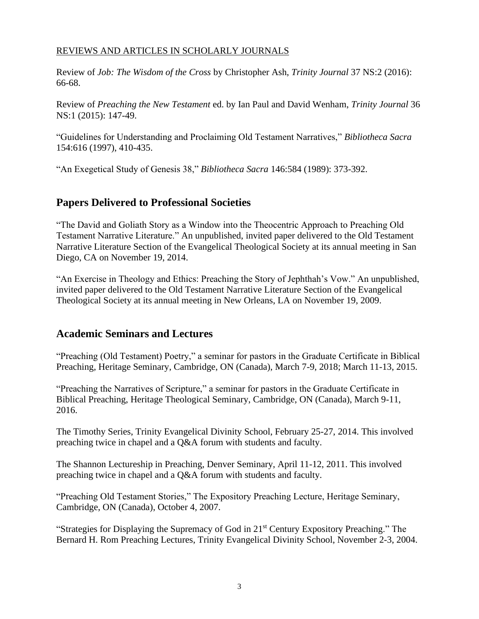#### REVIEWS AND ARTICLES IN SCHOLARLY JOURNALS

Review of *Job: The Wisdom of the Cross* by Christopher Ash, *Trinity Journal* 37 NS:2 (2016): 66-68.

Review of *Preaching the New Testament* ed. by Ian Paul and David Wenham, *Trinity Journal* 36 NS:1 (2015): 147-49.

"Guidelines for Understanding and Proclaiming Old Testament Narratives," *Bibliotheca Sacra* 154:616 (1997), 410-435.

"An Exegetical Study of Genesis 38," *Bibliotheca Sacra* 146:584 (1989): 373-392.

## **Papers Delivered to Professional Societies**

"The David and Goliath Story as a Window into the Theocentric Approach to Preaching Old Testament Narrative Literature." An unpublished, invited paper delivered to the Old Testament Narrative Literature Section of the Evangelical Theological Society at its annual meeting in San Diego, CA on November 19, 2014.

"An Exercise in Theology and Ethics: Preaching the Story of Jephthah's Vow." An unpublished, invited paper delivered to the Old Testament Narrative Literature Section of the Evangelical Theological Society at its annual meeting in New Orleans, LA on November 19, 2009.

## **Academic Seminars and Lectures**

"Preaching (Old Testament) Poetry," a seminar for pastors in the Graduate Certificate in Biblical Preaching, Heritage Seminary, Cambridge, ON (Canada), March 7-9, 2018; March 11-13, 2015.

"Preaching the Narratives of Scripture," a seminar for pastors in the Graduate Certificate in Biblical Preaching, Heritage Theological Seminary, Cambridge, ON (Canada), March 9-11, 2016.

The Timothy Series, Trinity Evangelical Divinity School, February 25-27, 2014. This involved preaching twice in chapel and a Q&A forum with students and faculty.

The Shannon Lectureship in Preaching, Denver Seminary, April 11-12, 2011. This involved preaching twice in chapel and a Q&A forum with students and faculty.

"Preaching Old Testament Stories," The Expository Preaching Lecture, Heritage Seminary, Cambridge, ON (Canada), October 4, 2007.

"Strategies for Displaying the Supremacy of God in 21st Century Expository Preaching." The Bernard H. Rom Preaching Lectures, Trinity Evangelical Divinity School, November 2-3, 2004.